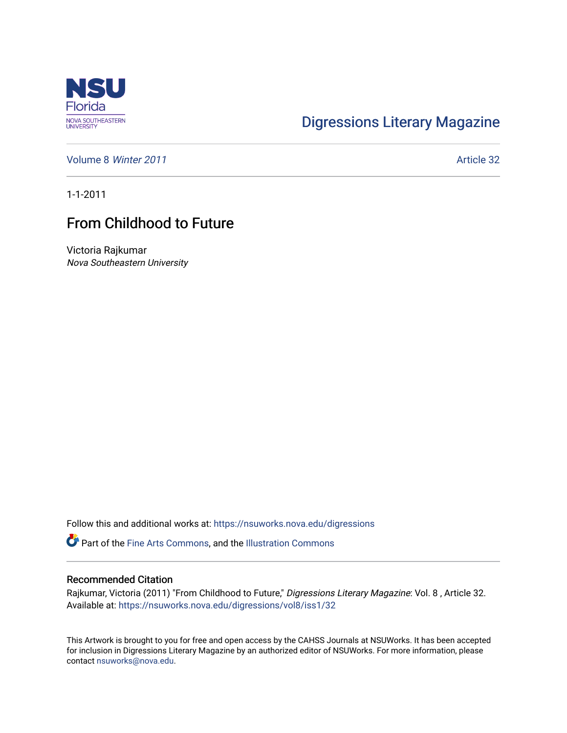

## [Digressions Literary Magazine](https://nsuworks.nova.edu/digressions)

[Volume 8](https://nsuworks.nova.edu/digressions/vol8) Winter 2011 **Article 32** 

1-1-2011

## From Childhood to Future

Victoria Rajkumar Nova Southeastern University

Follow this and additional works at: [https://nsuworks.nova.edu/digressions](https://nsuworks.nova.edu/digressions?utm_source=nsuworks.nova.edu%2Fdigressions%2Fvol8%2Fiss1%2F32&utm_medium=PDF&utm_campaign=PDFCoverPages) 

Part of the [Fine Arts Commons,](http://network.bepress.com/hgg/discipline/1141?utm_source=nsuworks.nova.edu%2Fdigressions%2Fvol8%2Fiss1%2F32&utm_medium=PDF&utm_campaign=PDFCoverPages) and the [Illustration Commons](http://network.bepress.com/hgg/discipline/1135?utm_source=nsuworks.nova.edu%2Fdigressions%2Fvol8%2Fiss1%2F32&utm_medium=PDF&utm_campaign=PDFCoverPages)

## Recommended Citation

Rajkumar, Victoria (2011) "From Childhood to Future," Digressions Literary Magazine: Vol. 8 , Article 32. Available at: [https://nsuworks.nova.edu/digressions/vol8/iss1/32](https://nsuworks.nova.edu/digressions/vol8/iss1/32?utm_source=nsuworks.nova.edu%2Fdigressions%2Fvol8%2Fiss1%2F32&utm_medium=PDF&utm_campaign=PDFCoverPages) 

This Artwork is brought to you for free and open access by the CAHSS Journals at NSUWorks. It has been accepted for inclusion in Digressions Literary Magazine by an authorized editor of NSUWorks. For more information, please contact [nsuworks@nova.edu.](mailto:nsuworks@nova.edu)